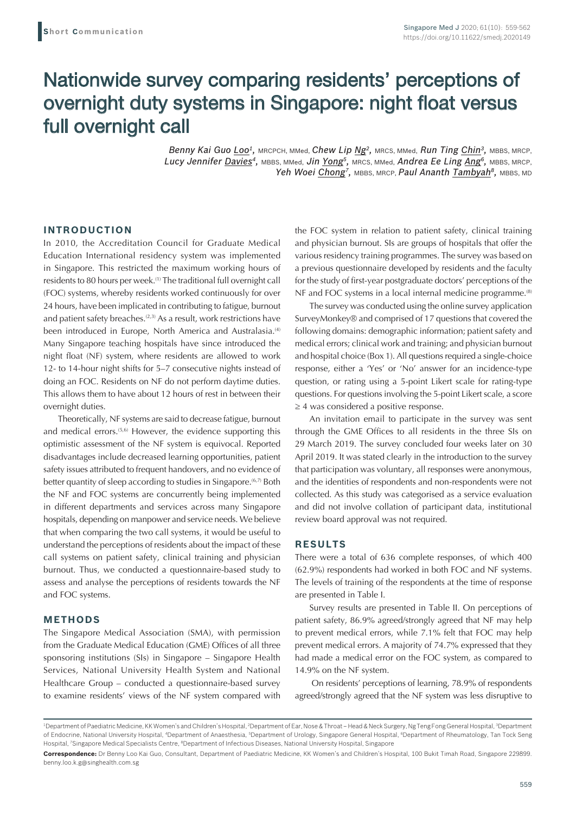# Nationwide survey comparing residents' perceptions of overnight duty systems in Singapore: night float versus full overnight call

*Benny Kai Guo Loo1,* MRCPCH, MMed, *Chew Lip Ng2,* MRCS, MMed, *Run Ting Chin3,* MBBS, MRCP, *Lucy Jennifer Davies4,* MBBS, MMed, *Jin Yong5,* MRCS, MMed, *Andrea Ee Ling Ang6,* MBBS, MRCP, Yeh Woei Chong<sup>7</sup>, MBBS, MRCP, *Paul Ananth Tambyah<sup>8</sup>*, MBBS, MD

## **INTRODUCTION**

In 2010, the Accreditation Council for Graduate Medical Education International residency system was implemented in Singapore. This restricted the maximum working hours of residents to 80 hours per week.(1) The traditional full overnight call (FOC) systems, whereby residents worked continuously for over 24 hours, have been implicated in contributing to fatigue, burnout and patient safety breaches.<sup>(2,3)</sup> As a result, work restrictions have been introduced in Europe, North America and Australasia.<sup>(4)</sup> Many Singapore teaching hospitals have since introduced the night float (NF) system, where residents are allowed to work 12- to 14-hour night shifts for 5–7 consecutive nights instead of doing an FOC. Residents on NF do not perform daytime duties. This allows them to have about 12 hours of rest in between their overnight duties.

Theoretically, NF systems are said to decrease fatigue, burnout and medical errors.<sup>(5,6)</sup> However, the evidence supporting this optimistic assessment of the NF system is equivocal. Reported disadvantages include decreased learning opportunities, patient safety issues attributed to frequent handovers, and no evidence of better quantity of sleep according to studies in Singapore.(6,7) Both the NF and FOC systems are concurrently being implemented in different departments and services across many Singapore hospitals, depending on manpower and service needs. We believe that when comparing the two call systems, it would be useful to understand the perceptions of residents about the impact of these call systems on patient safety, clinical training and physician burnout. Thus, we conducted a questionnaire-based study to assess and analyse the perceptions of residents towards the NF and FOC systems.

# **METHODS**

The Singapore Medical Association (SMA), with permission from the Graduate Medical Education (GME) Offices of all three sponsoring institutions (SIs) in Singapore – Singapore Health Services, National University Health System and National Healthcare Group – conducted a questionnaire-based survey to examine residents' views of the NF system compared with the FOC system in relation to patient safety, clinical training and physician burnout. SIs are groups of hospitals that offer the various residency training programmes. The survey was based on a previous questionnaire developed by residents and the faculty for the study of first-year postgraduate doctors' perceptions of the NF and FOC systems in a local internal medicine programme.<sup>(8)</sup>

The survey was conducted using the online survey application SurveyMonkey® and comprised of 17 questions that covered the following domains: demographic information; patient safety and medical errors; clinical work and training; and physician burnout and hospital choice (Box 1). All questions required a single-choice response, either a 'Yes' or 'No' answer for an incidence-type question, or rating using a 5-point Likert scale for rating-type questions. For questions involving the 5-point Likert scale, a score ≥ 4 was considered a positive response.

An invitation email to participate in the survey was sent through the GME Offices to all residents in the three SIs on 29 March 2019. The survey concluded four weeks later on 30 April 2019. It was stated clearly in the introduction to the survey that participation was voluntary, all responses were anonymous, and the identities of respondents and non-respondents were not collected. As this study was categorised as a service evaluation and did not involve collation of participant data, institutional review board approval was not required.

## **RESULTS**

There were a total of 636 complete responses, of which 400 (62.9%) respondents had worked in both FOC and NF systems. The levels of training of the respondents at the time of response are presented in Table I.

Survey results are presented in Table II. On perceptions of patient safety, 86.9% agreed/strongly agreed that NF may help to prevent medical errors, while 7.1% felt that FOC may help prevent medical errors. A majority of 74.7% expressed that they had made a medical error on the FOC system, as compared to 14.9% on the NF system.

 On residents' perceptions of learning, 78.9% of respondents agreed/strongly agreed that the NF system was less disruptive to

<sup>1</sup> Department of Paediatric Medicine, KK Women's and Children's Hospital, 2Department of Ear, Nose & Throat – Head & Neck Surgery, Ng Teng Fong General Hospital, 3 Department of Endocrine, National University Hospital, <sup>4</sup>Department of Anaesthesia, <sup>5</sup>Department of Urology, Singapore General Hospital, <sup>6</sup>Department of Rheumatology, Tan Tock Seng Hospital, 'Singapore Medical Specialists Centre, <sup>a</sup>Department of Infectious Diseases, National University Hospital, Singapore

**Correspondence:** Dr Benny Loo Kai Guo, Consultant, Department of Paediatric Medicine, KK Women's and Children's Hospital, 100 Bukit Timah Road, Singapore 229899. benny.loo.k.g@singhealth.com.sg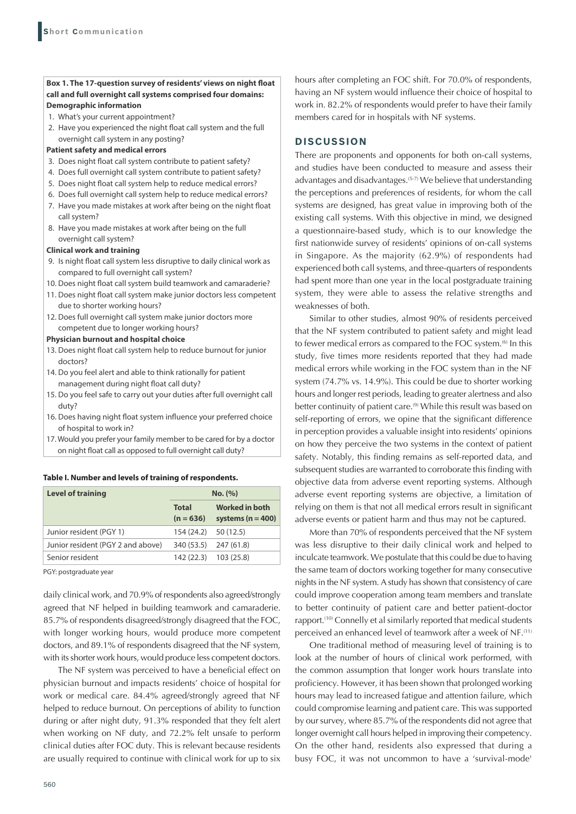## **Box 1. The 17-question survey of residents' views on night float call and full overnight call systems comprised four domains: Demographic information**

- 1. What's your current appointment?
- 2. Have you experienced the night float call system and the full overnight call system in any posting?

### **Patient safety and medical errors**

- 3. Does night float call system contribute to patient safety?
- 4. Does full overnight call system contribute to patient safety?
- 5. Does night float call system help to reduce medical errors?
- 6. Does full overnight call system help to reduce medical errors?
- 7. Have you made mistakes at work after being on the night float call system?
- 8. Have you made mistakes at work after being on the full overnight call system?

# **Clinical work and training**

- 9. Is night float call system less disruptive to daily clinical work as compared to full overnight call system?
- 10. Does night float call system build teamwork and camaraderie?
- 11. Does night float call system make junior doctors less competent due to shorter working hours?
- 12. Does full overnight call system make junior doctors more competent due to longer working hours?

#### **Physician burnout and hospital choice**

- 13. Does night float call system help to reduce burnout for junior doctors?
- 14. Do you feel alert and able to think rationally for patient management during night float call duty?
- 15. Do you feel safe to carry out your duties after full overnight call duty?
- 16. Does having night float system influence your preferred choice of hospital to work in?
- 17. Would you prefer your family member to be cared for by a doctor on night float call as opposed to full overnight call duty?

#### **Table I. Number and levels of training of respondents.**

| <b>Level of training</b>          | No. (%)                     |                                                |  |
|-----------------------------------|-----------------------------|------------------------------------------------|--|
|                                   | <b>Total</b><br>$(n = 636)$ | <b>Worked in both</b><br>systems ( $n = 400$ ) |  |
| Junior resident (PGY 1)           | 154 (24.2) 50 (12.5)        |                                                |  |
| Junior resident (PGY 2 and above) | 340 (53.5)                  | 247 (61.8)                                     |  |
| Senior resident                   |                             | 142 (22.3) 103 (25.8)                          |  |

PGY: postgraduate year

daily clinical work, and 70.9% of respondents also agreed/strongly agreed that NF helped in building teamwork and camaraderie. 85.7% of respondents disagreed/strongly disagreed that the FOC, with longer working hours, would produce more competent doctors, and 89.1% of respondents disagreed that the NF system, with its shorter work hours, would produce less competent doctors.

The NF system was perceived to have a beneficial effect on physician burnout and impacts residents' choice of hospital for work or medical care. 84.4% agreed/strongly agreed that NF helped to reduce burnout. On perceptions of ability to function during or after night duty, 91.3% responded that they felt alert when working on NF duty, and 72.2% felt unsafe to perform clinical duties after FOC duty. This is relevant because residents are usually required to continue with clinical work for up to six

hours after completing an FOC shift. For 70.0% of respondents, having an NF system would influence their choice of hospital to work in. 82.2% of respondents would prefer to have their family members cared for in hospitals with NF systems.

# **DISCUSSION**

There are proponents and opponents for both on-call systems, and studies have been conducted to measure and assess their advantages and disadvantages.(5-7) We believe that understanding the perceptions and preferences of residents, for whom the call systems are designed, has great value in improving both of the existing call systems. With this objective in mind, we designed a questionnaire-based study, which is to our knowledge the first nationwide survey of residents' opinions of on-call systems in Singapore. As the majority (62.9%) of respondents had experienced both call systems, and three-quarters of respondents had spent more than one year in the local postgraduate training system, they were able to assess the relative strengths and weaknesses of both.

Similar to other studies, almost 90% of residents perceived that the NF system contributed to patient safety and might lead to fewer medical errors as compared to the FOC system.<sup>(6)</sup> In this study, five times more residents reported that they had made medical errors while working in the FOC system than in the NF system (74.7% vs. 14.9%). This could be due to shorter working hours and longer rest periods, leading to greater alertness and also better continuity of patient care.<sup>(9)</sup> While this result was based on self-reporting of errors, we opine that the significant difference in perception provides a valuable insight into residents' opinions on how they perceive the two systems in the context of patient safety. Notably, this finding remains as self-reported data, and subsequent studies are warranted to corroborate this finding with objective data from adverse event reporting systems. Although adverse event reporting systems are objective, a limitation of relying on them is that not all medical errors result in significant adverse events or patient harm and thus may not be captured.

More than 70% of respondents perceived that the NF system was less disruptive to their daily clinical work and helped to inculcate teamwork. We postulate that this could be due to having the same team of doctors working together for many consecutive nights in the NF system. A study has shown that consistency of care could improve cooperation among team members and translate to better continuity of patient care and better patient-doctor rapport.(10) Connelly et al similarly reported that medical students perceived an enhanced level of teamwork after a week of NF.(11)

One traditional method of measuring level of training is to look at the number of hours of clinical work performed, with the common assumption that longer work hours translate into proficiency. However, it has been shown that prolonged working hours may lead to increased fatigue and attention failure, which could compromise learning and patient care. This was supported by our survey, where 85.7% of the respondents did not agree that longer overnight call hours helped in improving their competency. On the other hand, residents also expressed that during a busy FOC, it was not uncommon to have a 'survival-mode'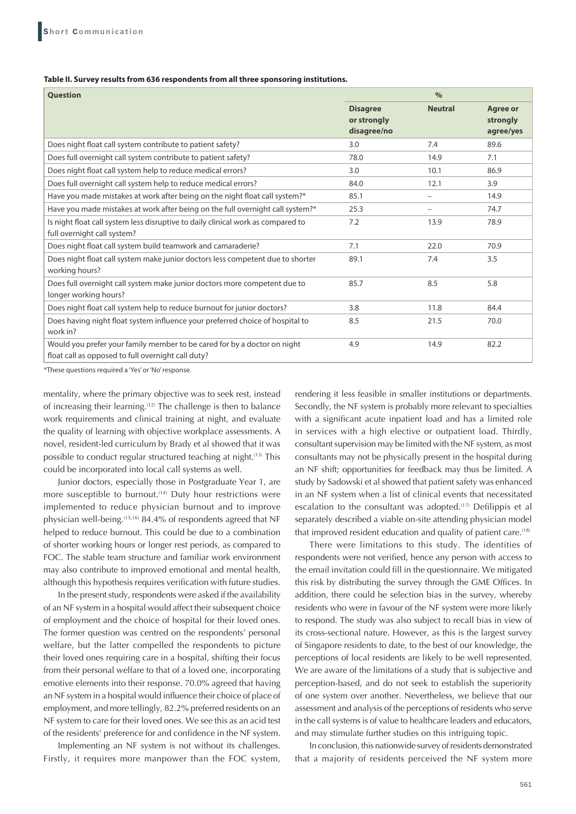## **Table II. Survey results from 636 respondents from all three sponsoring institutions.**

| <b>Question</b>                                                                                                                | $\frac{0}{0}$                                 |                          |                                          |
|--------------------------------------------------------------------------------------------------------------------------------|-----------------------------------------------|--------------------------|------------------------------------------|
|                                                                                                                                | <b>Disagree</b><br>or strongly<br>disagree/no | <b>Neutral</b>           | <b>Agree or</b><br>strongly<br>agree/yes |
| Does night float call system contribute to patient safety?                                                                     | 3.0                                           | 7.4                      | 89.6                                     |
| Does full overnight call system contribute to patient safety?                                                                  | 78.0                                          | 14.9                     | 7.1                                      |
| Does night float call system help to reduce medical errors?                                                                    | 3.0                                           | 10.1                     | 86.9                                     |
| Does full overnight call system help to reduce medical errors?                                                                 | 84.0                                          | 12.1                     | 3.9                                      |
| Have you made mistakes at work after being on the night float call system?*                                                    | 85.1                                          | $\overline{\phantom{0}}$ | 14.9                                     |
| Have you made mistakes at work after being on the full overnight call system?*                                                 | 25.3                                          |                          | 74.7                                     |
| Is night float call system less disruptive to daily clinical work as compared to<br>full overnight call system?                | 7.2                                           | 13.9                     | 78.9                                     |
| Does night float call system build teamwork and camaraderie?                                                                   | 7.1                                           | 22.0                     | 70.9                                     |
| Does night float call system make junior doctors less competent due to shorter<br>working hours?                               | 89.1                                          | 7.4                      | 3.5                                      |
| Does full overnight call system make junior doctors more competent due to<br>longer working hours?                             | 85.7                                          | 8.5                      | 5.8                                      |
| Does night float call system help to reduce burnout for junior doctors?                                                        | 3.8                                           | 11.8                     | 84.4                                     |
| Does having night float system influence your preferred choice of hospital to<br>work in?                                      | 8.5                                           | 21.5                     | 70.0                                     |
| Would you prefer your family member to be cared for by a doctor on night<br>float call as opposed to full overnight call duty? | 4.9                                           | 14.9                     | 82.2                                     |

\*These questions required a 'Yes' or 'No' response.

mentality, where the primary objective was to seek rest, instead of increasing their learning.(12) The challenge is then to balance work requirements and clinical training at night, and evaluate the quality of learning with objective workplace assessments. A novel, resident-led curriculum by Brady et al showed that it was possible to conduct regular structured teaching at night.(13) This could be incorporated into local call systems as well.

Junior doctors, especially those in Postgraduate Year 1, are more susceptible to burnout.<sup>(14)</sup> Duty hour restrictions were implemented to reduce physician burnout and to improve physician well-being.(15,16) 84.4% of respondents agreed that NF helped to reduce burnout. This could be due to a combination of shorter working hours or longer rest periods, as compared to FOC. The stable team structure and familiar work environment may also contribute to improved emotional and mental health, although this hypothesis requires verification with future studies.

In the present study, respondents were asked if the availability of an NF system in a hospital would affect their subsequent choice of employment and the choice of hospital for their loved ones. The former question was centred on the respondents' personal welfare, but the latter compelled the respondents to picture their loved ones requiring care in a hospital, shifting their focus from their personal welfare to that of a loved one, incorporating emotive elements into their response. 70.0% agreed that having an NF system in a hospital would influence their choice of place of employment, and more tellingly, 82.2% preferred residents on an NF system to care for their loved ones. We see this as an acid test of the residents' preference for and confidence in the NF system.

Implementing an NF system is not without its challenges. Firstly, it requires more manpower than the FOC system, rendering it less feasible in smaller institutions or departments. Secondly, the NF system is probably more relevant to specialties with a significant acute inpatient load and has a limited role in services with a high elective or outpatient load. Thirdly, consultant supervision may be limited with the NF system, as most consultants may not be physically present in the hospital during an NF shift; opportunities for feedback may thus be limited. A study by Sadowski et al showed that patient safety was enhanced in an NF system when a list of clinical events that necessitated escalation to the consultant was adopted.<sup>(17)</sup> Defilippis et al separately described a viable on-site attending physician model that improved resident education and quality of patient care.<sup>(18)</sup>

There were limitations to this study. The identities of respondents were not verified, hence any person with access to the email invitation could fill in the questionnaire. We mitigated this risk by distributing the survey through the GME Offices. In addition, there could be selection bias in the survey, whereby residents who were in favour of the NF system were more likely to respond. The study was also subject to recall bias in view of its cross-sectional nature. However, as this is the largest survey of Singapore residents to date, to the best of our knowledge, the perceptions of local residents are likely to be well represented. We are aware of the limitations of a study that is subjective and perception-based, and do not seek to establish the superiority of one system over another. Nevertheless, we believe that our assessment and analysis of the perceptions of residents who serve in the call systems is of value to healthcare leaders and educators, and may stimulate further studies on this intriguing topic.

In conclusion, this nationwide survey of residents demonstrated that a majority of residents perceived the NF system more